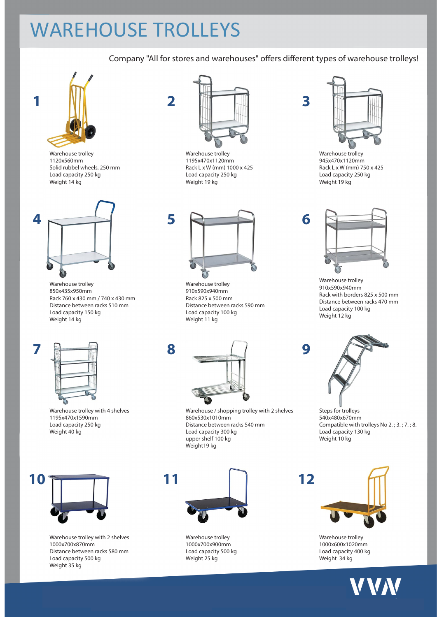# WAREHOUSE TROLLEYS

### Company "All for stores and warehouses" offers different types of warehouse trolleys!



Warehouse trolley 1120x560mm Solid rubbel wheels, 250 mm Load capacity 250 kg Weight 14 kg



Warehouse trolley 850x435x950mm Rack 760 x 430 mm / 740 x 430 mm Distance between racks 510 mm Load capacity 150 kg Weight 14 kg



Warehouse trolley with 4 shelves 1195x470x1590mm Load capacity 250 kg Weight 40 kg



Warehouse trolley with 2 shelves 1000x700x870mm Distance between racks 580 mm Load capacity 500 kg Weight 35 kg



Warehouse trolley 1195x470x1120mm Rack L x W (mm) 1000 x 425 Load capacity 250 kg Weight 19 kg



Warehouse trolley 910x590x940mm Rack 825 x 500 mm Distance between racks 590 mm Load capacity 100 kg Weight 11 kg



Warehouse / shopping trolley with 2 shelves 860x530x1010mm Distance between racks 540 mm Load capacity 300 kg upper shelf 100 kg Weight19 kg



Warehouse trolley 1000x700x900mm Load capacity 500 kg Weight 25 kg



Warehouse trolley 945x470x1120mm Rack L x W (mm) 750 x 425 Load capacity 250 kg Weight 19 kg



Warehouse trolley 910x590x940mm Rack with borders 825 x 500 mm Distance between racks 470 mm Load capacity 100 kg Weight 12 kg



Steps for trolleys 540x480x670mm Compatible with trolleys No 2. ; 3. ; 7. ; 8. Load capacity 130 kg Weight 10 kg



Warehouse trolley 1000x600x1020mm Load capacity 400 kg Weight 34 kg